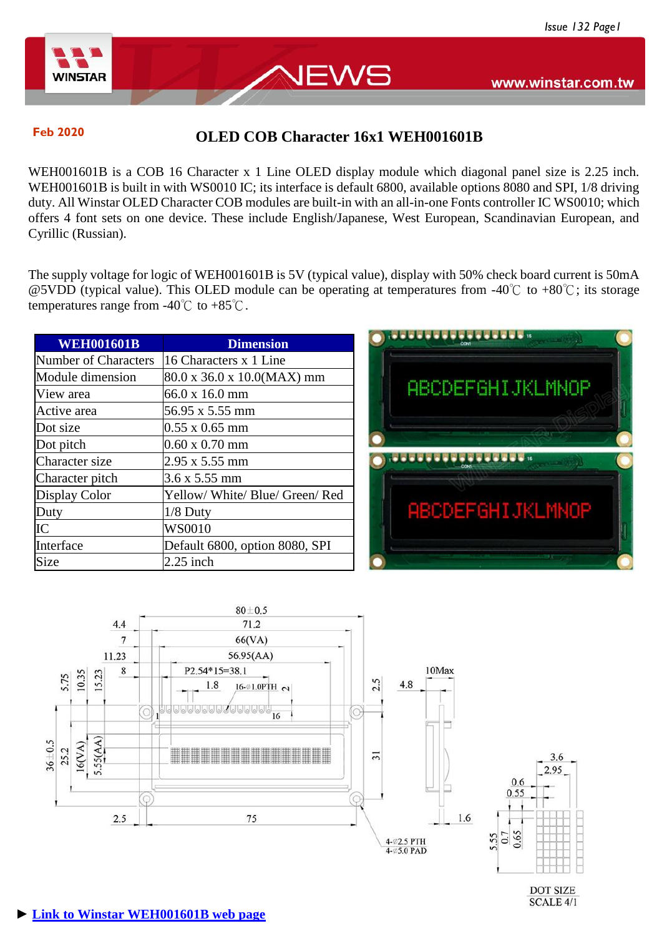www.winstar.com.tw



# **Feb 2020 OLED COB Character 16x1 WEH001601B**

EWS

WEH001601B is a COB 16 Character x 1 Line OLED display module which diagonal panel size is 2.25 inch. WEH001601B is built in with WS0010 IC; its interface is default 6800, available options 8080 and SPI, 1/8 driving duty. All Winstar OLED Character COB modules are built-in with an all-in-one Fonts controller IC WS0010; which offers 4 font sets on one device. These include English/Japanese, West European, Scandinavian European, and Cyrillic (Russian).

The supply voltage for logic of WEH001601B is 5V (typical value), display with 50% check board current is 50mA @5VDD (typical value). This OLED module can be operating at temperatures from -40℃ to +80℃; its storage temperatures range from  $-40^{\circ}$  to  $+85^{\circ}$ .

| <b>WEH001601B</b>           | <b>Dimension</b>               |
|-----------------------------|--------------------------------|
| <b>Number of Characters</b> | 16 Characters x 1 Line         |
| Module dimension            | 80.0 x 36.0 x 10.0(MAX) mm     |
| View area                   | 66.0 x 16.0 mm                 |
| Active area                 | 56.95 x 5.55 mm                |
| Dot size                    | $0.55 \times 0.65$ mm          |
| Dot pitch                   | $0.60 \times 0.70$ mm          |
| Character size              | 2.95 x 5.55 mm                 |
| Character pitch             | 3.6 x 5.55 mm                  |
| Display Color               | Yellow/White/Blue/Green/Red    |
| Duty                        | $1/8$ Duty                     |
| IC                          | WS0010                         |
| Interface                   | Default 6800, option 8080, SPI |
| Size                        | $2.25$ inch                    |





**DOT SIZE** SCALE 4/1

### **► [Link to Winstar WEH001601B web page](https://www.winstar.com.tw/products/oled-module/oled-character-display/16x1-oled.html)**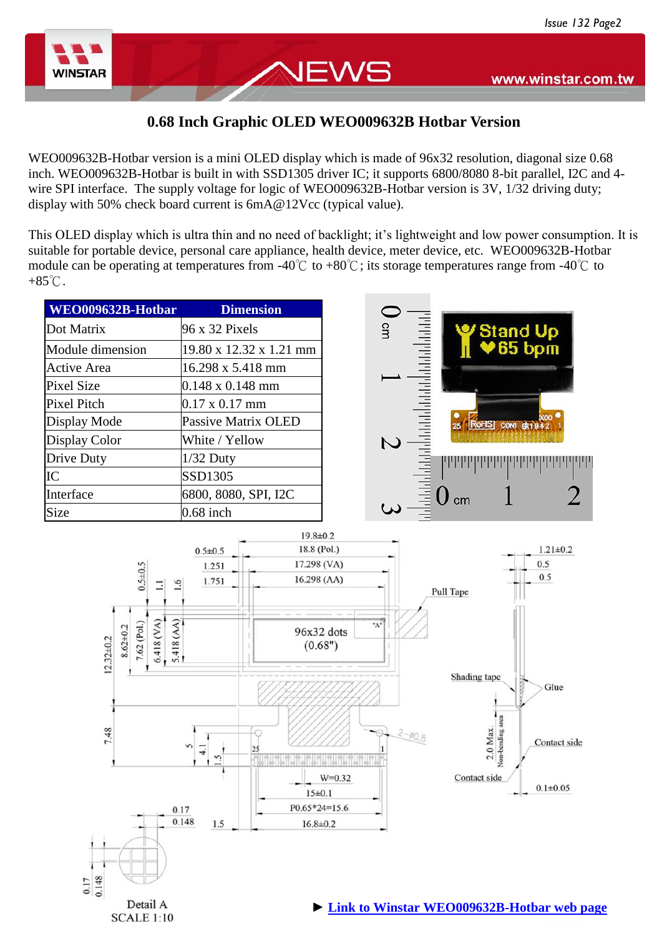Ψ



## **0.68 Inch Graphic OLED WEO009632B Hotbar Version**

NEWS

WEO009632B-Hotbar version is a mini OLED display which is made of 96x32 resolution, diagonal size 0.68 inch. WEO009632B-Hotbar is built in with SSD1305 driver IC; it supports 6800/8080 8-bit parallel, I2C and 4 wire SPI interface. The supply voltage for logic of WEO009632B-Hotbar version is 3V, 1/32 driving duty; display with 50% check board current is  $6mA@12Vec$  (typical value).

This OLED display which is ultra thin and no need of backlight; it's lightweight and low power consumption. It is suitable for portable device, personal care appliance, health device, meter device, etc. WEO009632B-Hotbar module can be operating at temperatures from -40℃ to +80℃; its storage temperatures range from -40℃ to  $+85^{\circ}$ C.

| WEO009632B-Hotbar                                                                                   | <b>Dimension</b>                                                                                                        |                       |                                                                              |
|-----------------------------------------------------------------------------------------------------|-------------------------------------------------------------------------------------------------------------------------|-----------------------|------------------------------------------------------------------------------|
| Dot Matrix                                                                                          | 96 x 32 Pixels                                                                                                          | cm                    |                                                                              |
| Module dimension                                                                                    | 19.80 x 12.32 x 1.21 mm                                                                                                 |                       | Stand Up<br>195 bpm                                                          |
| <b>Active Area</b>                                                                                  | 16.298 x 5.418 mm                                                                                                       |                       |                                                                              |
| <b>Pixel Size</b>                                                                                   | $0.148 \times 0.148$ mm                                                                                                 |                       |                                                                              |
| Pixel Pitch                                                                                         | $0.17 \times 0.17$ mm                                                                                                   |                       |                                                                              |
| Display Mode                                                                                        | <b>Passive Matrix OLED</b>                                                                                              |                       | RoHS CONT 01942<br>25                                                        |
| Display Color                                                                                       | White / Yellow                                                                                                          | $\mathcal{C}$         |                                                                              |
| Drive Duty                                                                                          | $1/32$ Duty                                                                                                             |                       |                                                                              |
| IC                                                                                                  | SSD1305                                                                                                                 |                       |                                                                              |
| Interface                                                                                           | 6800, 8080, SPI, I2C                                                                                                    |                       | cm                                                                           |
| Size                                                                                                | $0.68$ inch                                                                                                             |                       |                                                                              |
| $0.5 + 0.5$<br>.6<br>5.418 (AM)<br>$6.418$ (VA)<br>7.62 (Pol.)<br>$8.62 \pm 0.2$<br>$12.32 \pm 0.2$ | $19.8 \pm 0.2$<br>18.8 (Pol.)<br>$0.5 \pm 0.5$<br>17.298 (VA)<br>1.251<br>16.298 (AA)<br>1.751<br>96x32 dots<br>(0.68") | $A^*$                 | $1.21 \pm 0.2$<br>0.5<br>0.5<br>Pull Tape<br>Shading tape<br>Glue            |
| 7.48                                                                                                | $\mathfrak{m}$<br>25<br>r.<br>15±0.1<br>P0.65*24=15.6<br>0.17<br>0.148<br>1.5<br>$16.8 \pm 0.2$                         | $2 - 0.8$<br>$W=0.32$ | Von-bending area<br>2.0 Max.<br>Contact side<br>Contact side<br>$0.1 + 0.05$ |

Detail A **SCALE 1:10**  **► [Link to Winstar WEO009632B-Hotbar web page](https://www.winstar.com.tw/products/oled-module/graphic-oled-display/96x32-oled.html)**